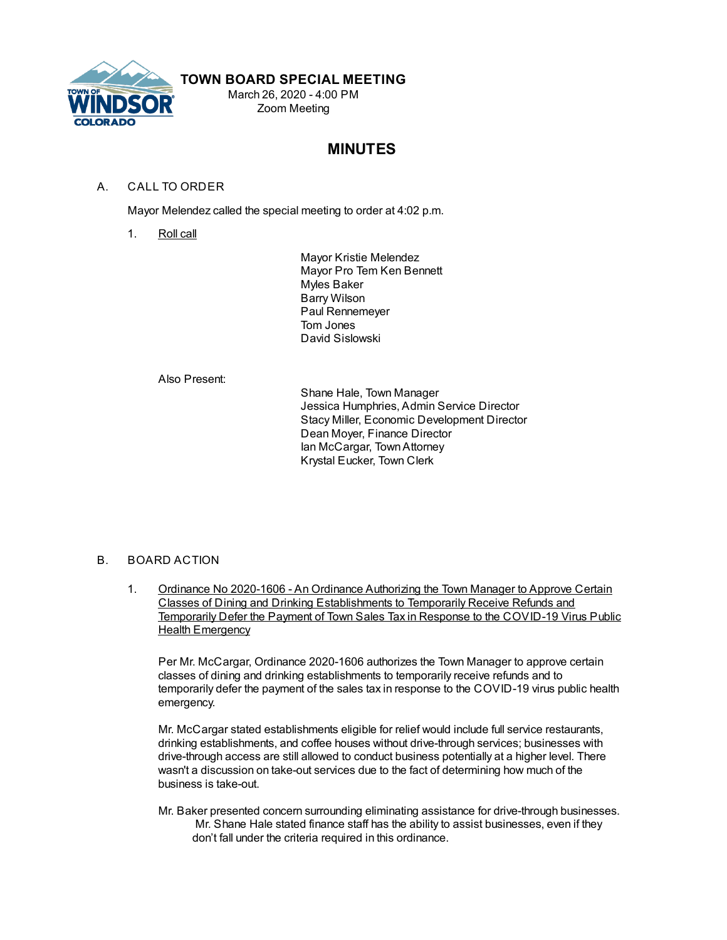

## **TOWN BOARD SPECIAL MEETING**

March 26, 2020 - 4:00 PM Zoom Meeting

# **MINUTES**

### A. CALL TO ORDER

Mayor Melendez called the special meeting to order at 4:02 p.m.

1. Roll call

Mayor Kristie Melendez Mayor Pro Tem Ken Bennett Myles Baker Barry Wilson Paul Rennemeyer Tom Jones David Sislowski

#### Also Present:

Shane Hale, Town Manager Jessica Humphries, Admin Service Director Stacy Miller, Economic Development Director Dean Moyer, Finance Director Ian McCargar, TownAttorney Krystal Eucker, Town Clerk

#### B. BOARD ACTION

1. Ordinance No 2020-1606 - An Ordinance Authorizing the Town Manager to Approve Certain Classes of Dining and Drinking Establishments to Temporarily Receive Refunds and Temporarily Defer the Payment of Town Sales Tax in Response to the COVID-19 Virus Public Health Emergency

Per Mr. McCargar, Ordinance 2020-1606 authorizes the Town Manager to approve certain classes of dining and drinking establishments to temporarily receive refunds and to temporarily defer the payment of the sales tax in response to the COVID-19 virus public health emergency.

Mr. McCargar stated establishments eligible for relief would include full service restaurants, drinking establishments, and coffee houses without drive-through services; businesses with drive-through access are still allowed to conduct business potentially at a higher level. There wasn't a discussion on take-out services due to the fact of determining how much of the business is take-out.

Mr. Baker presented concern surrounding eliminating assistance for drive-through businesses. Mr. Shane Hale stated finance staff has the ability to assist businesses, even if they don't fall under the criteria required in this ordinance.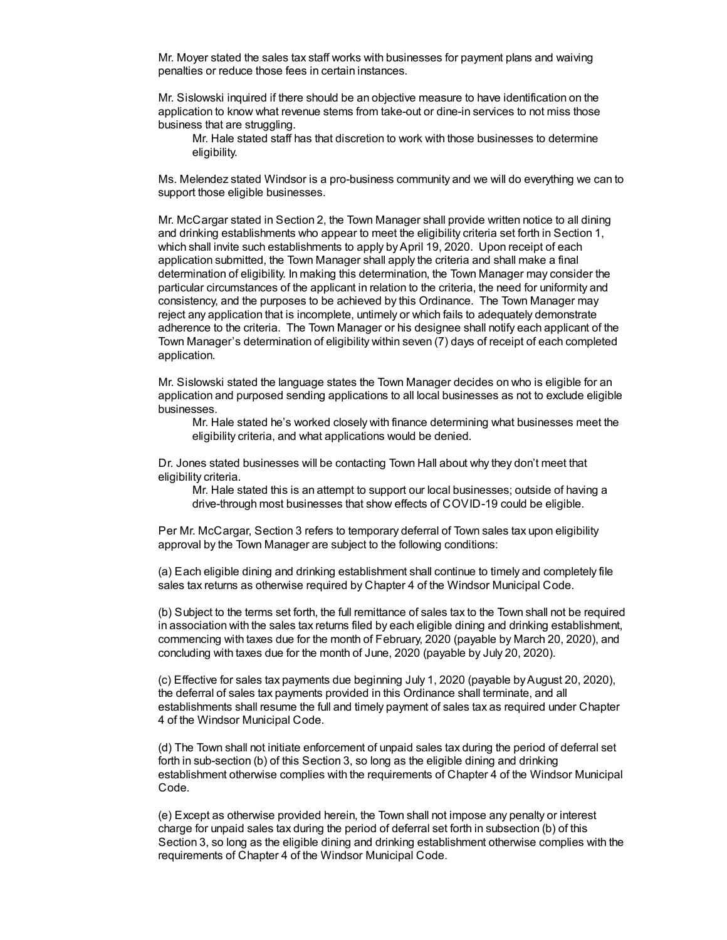Mr. Moyer stated the sales tax staff works with businesses for payment plans and waiving penalties or reduce those fees in certain instances.

Mr. Sislowski inquired if there should be an objective measure to have identification on the application to know what revenue stems from take-out or dine-in services to not miss those business that are struggling.

Mr. Hale stated staff has that discretion to work with those businesses to determine eligibility.

Ms. Melendez stated Windsor is a pro-business community and we will do everything we can to support those eligible businesses.

Mr. McCargar stated in Section 2, the Town Manager shall provide written notice to all dining and drinking establishments who appear to meet the eligibility criteria set forth in Section 1, which shall invite such establishments to apply by April 19, 2020. Upon receipt of each application submitted, the Town Manager shall apply the criteria and shall make a final determination of eligibility. In making this determination, the Town Manager may consider the particular circumstances of the applicant in relation to the criteria, the need for uniformity and consistency, and the purposes to be achieved by this Ordinance. The Town Manager may reject any application that is incomplete, untimely or which fails to adequately demonstrate adherence to the criteria. The Town Manager or his designee shall notify each applicant of the Town Manager's determination of eligibility within seven (7) days of receipt of each completed application.

Mr. Sislowski stated the language states the Town Manager decides on who is eligible for an application and purposed sending applications to all local businesses as not to exclude eligible businesses.

Mr. Hale stated he's worked closely with finance determining what businesses meet the eligibility criteria, and what applications would be denied.

Dr. Jones stated businesses will be contacting Town Hall about why they don't meet that eligibility criteria.

Mr. Hale stated this is an attempt to support our local businesses; outside of having a drive-through most businesses that show effects of COVID-19 could be eligible.

Per Mr. McCargar, Section 3 refers to temporary deferral of Town sales tax upon eligibility approval by the Town Manager are subject to the following conditions:

(a) Each eligible dining and drinking establishment shall continue to timely and completely file sales tax returns as otherwise required by Chapter 4 of the Windsor Municipal Code.

(b) Subject to the terms set forth, the full remittance of sales tax to the Town shall not be required in association with the sales tax returns filed by each eligible dining and drinking establishment, commencing with taxes due for the month of February, 2020 (payable by March 20, 2020), and concluding with taxes due for the month of June, 2020 (payable by July 20, 2020).

(c) Effective for sales tax payments due beginning July 1, 2020 (payable byAugust 20, 2020), the deferral of sales tax payments provided in this Ordinance shall terminate, and all establishments shall resume the full and timely payment of sales tax as required under Chapter 4 of the Windsor Municipal Code.

(d) The Town shall not initiate enforcement of unpaid sales tax during the period of deferral set forth in sub-section (b) of this Section 3, so long as the eligible dining and drinking establishment otherwise complies with the requirements of Chapter 4 of the Windsor Municipal Code.

(e) Except as otherwise provided herein, the Town shall not impose any penalty or interest charge for unpaid sales tax during the period of deferral set forth in subsection (b) of this Section 3, so long as the eligible dining and drinking establishment otherwise complies with the requirements of Chapter 4 of the Windsor Municipal Code.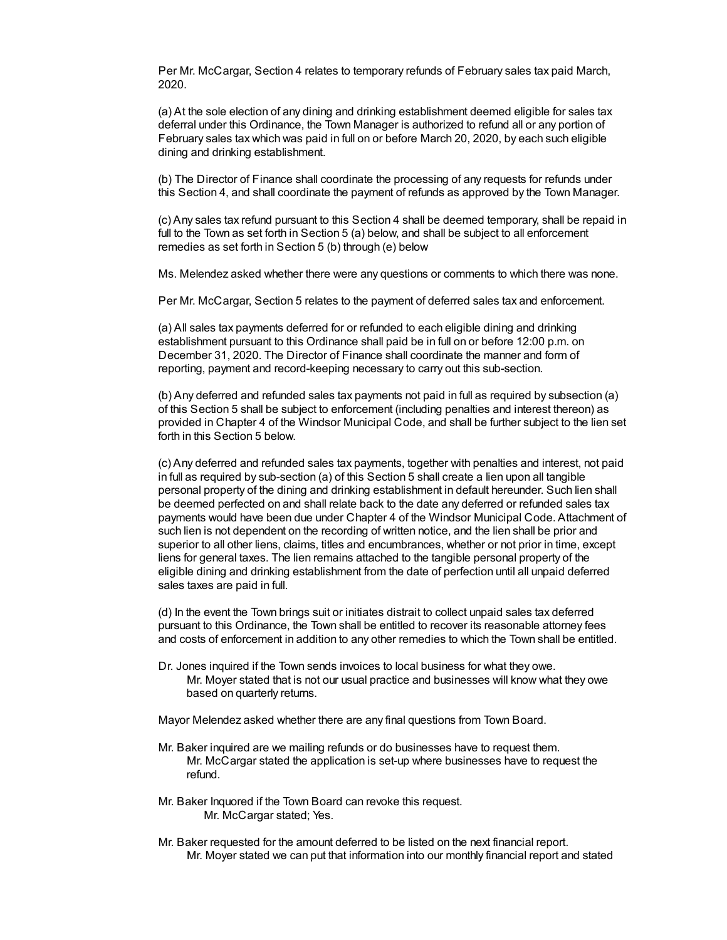Per Mr. McCargar, Section 4 relates to temporary refunds of February sales tax paid March, 2020.

(a) At the sole election of any dining and drinking establishment deemed eligible for sales tax deferral under this Ordinance, the Town Manager is authorized to refund all or any portion of February sales tax which was paid in full on or before March 20, 2020, by each such eligible dining and drinking establishment.

(b) The Director of Finance shall coordinate the processing of any requests for refunds under this Section 4, and shall coordinate the payment of refunds as approved by the Town Manager.

(c) Any sales tax refund pursuant to this Section 4 shall be deemed temporary, shall be repaid in full to the Town as set forth in Section 5 (a) below, and shall be subject to all enforcement remedies as set forth in Section 5 (b) through (e) below

Ms. Melendez asked whether there were any questions or comments to which there was none.

Per Mr. McCargar, Section 5 relates to the payment of deferred sales tax and enforcement.

(a) All sales tax payments deferred for or refunded to each eligible dining and drinking establishment pursuant to this Ordinance shall paid be in full on or before 12:00 p.m. on December 31, 2020. The Director of Finance shall coordinate the manner and form of reporting, payment and record-keeping necessary to carry out this sub-section.

(b) Any deferred and refunded sales tax payments not paid in full as required by subsection (a) of this Section 5 shall be subject to enforcement (including penalties and interest thereon) as provided in Chapter 4 of the Windsor Municipal Code, and shall be further subject to the lien set forth in this Section 5 below.

(c) Any deferred and refunded sales tax payments, together with penalties and interest, not paid in full as required by sub-section (a) of this Section 5 shall create a lien upon all tangible personal property of the dining and drinking establishment in default hereunder. Such lien shall be deemed perfected on and shall relate back to the date any deferred or refunded sales tax payments would have been due under Chapter 4 of the Windsor Municipal Code. Attachment of such lien is not dependent on the recording of written notice, and the lien shall be prior and superior to all other liens, claims, titles and encumbrances, whether or not prior in time, except liens for general taxes. The lien remains attached to the tangible personal property of the eligible dining and drinking establishment from the date of perfection until all unpaid deferred sales taxes are paid in full.

(d) In the event the Town brings suit or initiates distrait to collect unpaid sales tax deferred pursuant to this Ordinance, the Town shall be entitled to recover its reasonable attorney fees and costs of enforcement in addition to any other remedies to which the Town shall be entitled.

Dr. Jones inquired if the Town sends invoices to local business for what they owe. Mr. Moyer stated that is not our usual practice and businesses will know what they owe based on quarterly returns.

Mayor Melendez asked whether there are any final questions from Town Board.

- Mr. Baker inquired are we mailing refunds or do businesses have to request them. Mr. McCargar stated the application is set-up where businesses have to request the refund.
- Mr. Baker Inquored if the Town Board can revoke this request. Mr. McCargar stated; Yes.
- Mr. Baker requested for the amount deferred to be listed on the next financial report. Mr. Moyer stated we can put that information into our monthly financial report and stated